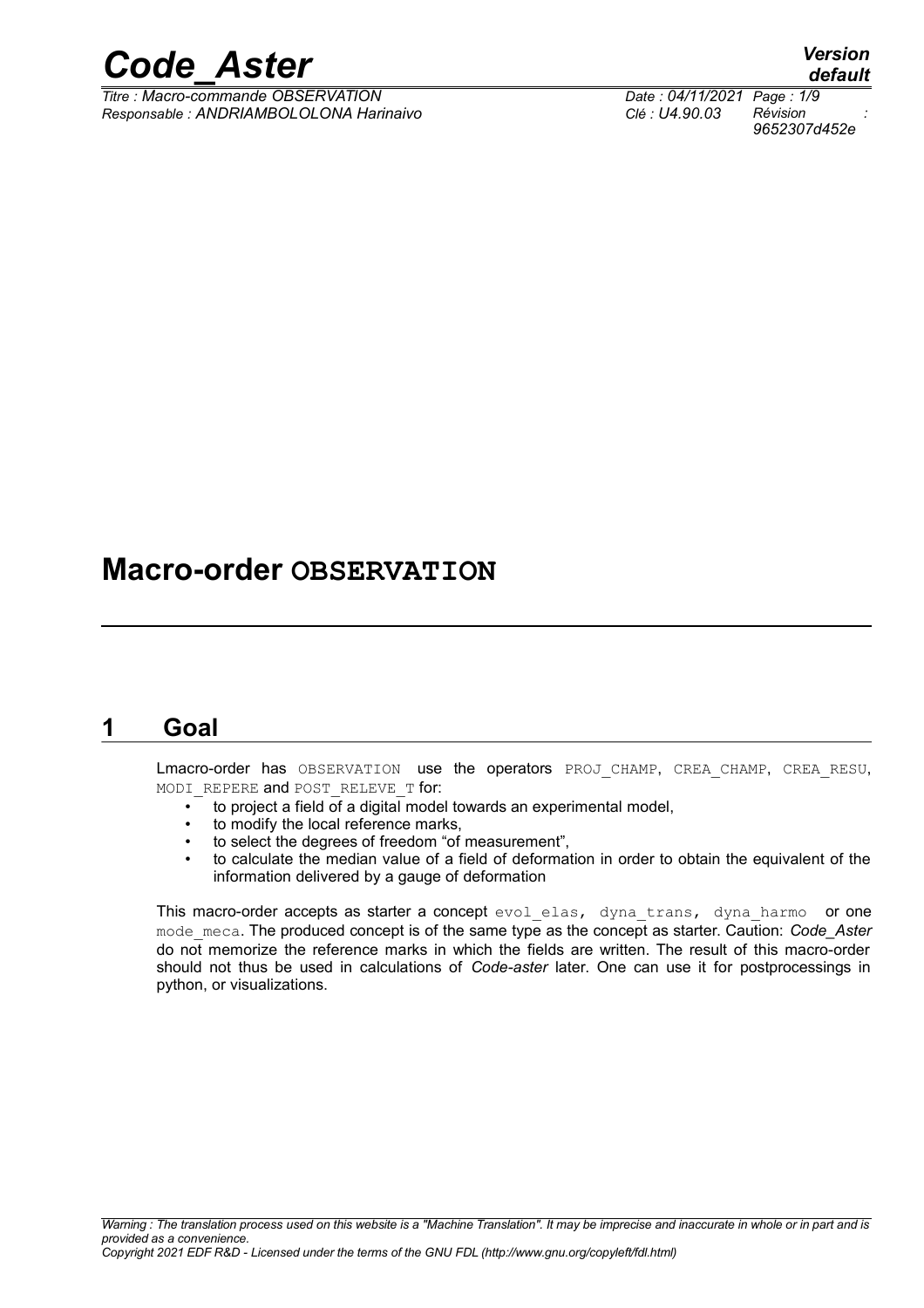

*Titre : Macro-commande OBSERVATION Date : 04/11/2021 Page : 1/9 Responsable : ANDRIAMBOLOLONA Harinaivo Clé : U4.90.03 Révision :*

### **Macro-order OBSERVATION**

#### **1 Goal**

Lmacro-order has OBSERVATION use the operators PROJ\_CHAMP, CREA\_CHAMP, CREA\_RESU, MODI REPERE and POST RELEVE T for:

- to project a field of a digital model towards an experimental model,
- to modify the local reference marks,
- to select the degrees of freedom "of measurement",
- to calculate the median value of a field of deformation in order to obtain the equivalent of the information delivered by a gauge of deformation

This macro-order accepts as starter a concept evol\_elas, dyna\_trans, dyna\_harmo or one mode meca. The produced concept is of the same type as the concept as starter. Caution: *Code Aster* do not memorize the reference marks in which the fields are written. The result of this macro-order should not thus be used in calculations of *Code-aster* later. One can use it for postprocessings in python, or visualizations.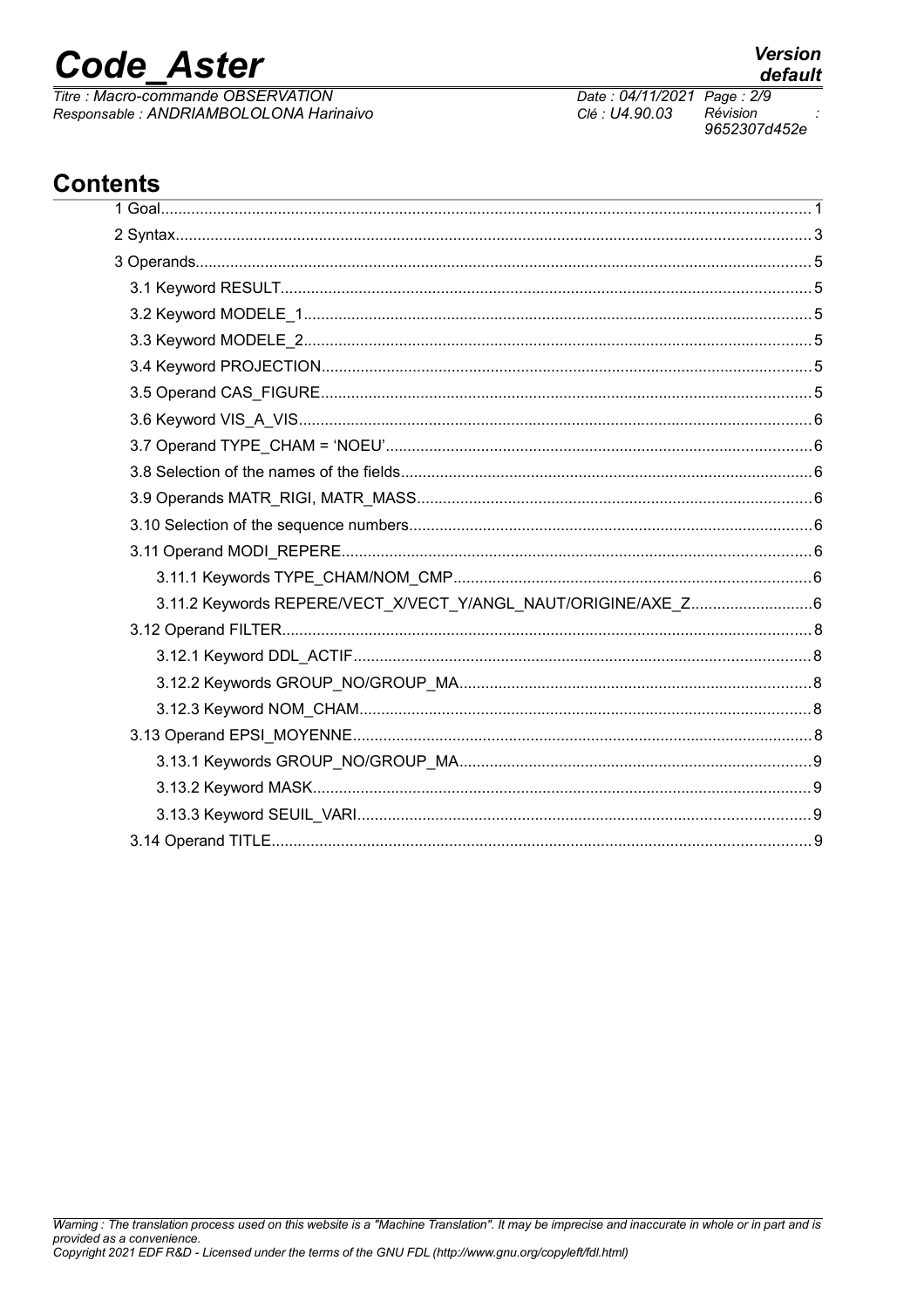## **Code Aster**

Titre : Macro-commande OBSERVATION Responsable : ANDRIAMBOLOLONA Harinaivo

#### **Contents**

| 3.11.2 Keywords REPERE/VECT_X/VECT_Y/ANGL_NAUT/ORIGINE/AXE_Z6 |  |
|---------------------------------------------------------------|--|
|                                                               |  |
|                                                               |  |
|                                                               |  |
|                                                               |  |
|                                                               |  |
|                                                               |  |
|                                                               |  |
|                                                               |  |
|                                                               |  |

Date: 04/11/2021 Page: 2/9 Clé : U4.90.03 Révision 9652307d452e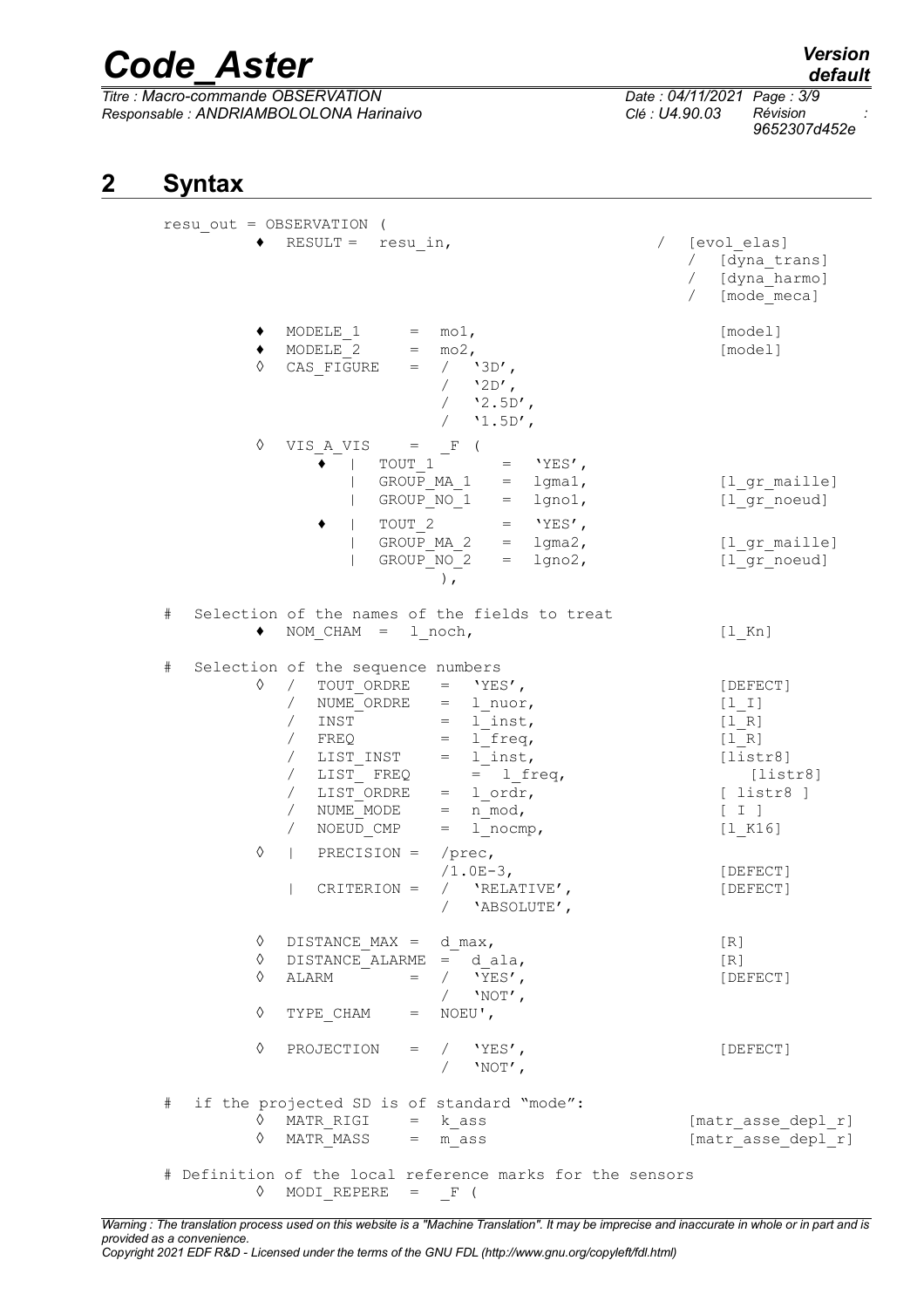*Titre : Macro-commande OBSERVATION Date : 04/11/2021 Page : 3/9 Responsable : ANDRIAMBOLOLONA Harinaivo Clé : U4.90.03 Révision :*

*default 9652307d452e*

#### **2 Syntax**

|      |             | resu out = OBSERVATION (                                                                                                                                                                                                                                                                    |                                                                                                                            |                                                                                                         |
|------|-------------|---------------------------------------------------------------------------------------------------------------------------------------------------------------------------------------------------------------------------------------------------------------------------------------------|----------------------------------------------------------------------------------------------------------------------------|---------------------------------------------------------------------------------------------------------|
|      |             | $RESULT =$<br>resu in,                                                                                                                                                                                                                                                                      |                                                                                                                            | [evol elas]<br>$\sqrt{2}$<br>/ [dyna trans]<br>/ [dyna harmo]<br>[mode meca]<br>$\sqrt{2}$              |
|      | ♦           | MODELE 1<br>$=$ mol,<br>MODELE 2<br>$=$ mo2,<br>$=$ / '3D',<br>CAS FIGURE                                                                                                                                                                                                                   | $/$ '2D',<br>$/$ '2.5D',<br>$/$ '1.5D',                                                                                    | [model]<br>[model]                                                                                      |
|      | ♦           | VIS A VIS $=$ F<br>TOUT 1<br>GROUP MA 1<br>GROUP NO 1<br>TOUT 2<br>GROUP MA 2<br>GROUP NO 2<br>$\lambda$ .                                                                                                                                                                                  | $'$ YES $'$ ,<br>$=$<br>$=$ lgma1,<br>lgno1,<br>$=$<br>$'YES'$ ,<br>$=$<br>$1$ gma $2$ ,<br>$=$<br>$=$ lgno2,              | [l gr maille]<br>[1 gr noeud]<br>[l gr maille]<br>[1 gr noeud]                                          |
| $\#$ |             | Selection of the names of the fields to treat<br>$NOM CHAM =$<br>1 noch,                                                                                                                                                                                                                    |                                                                                                                            | $[1$ Kn]                                                                                                |
| $\#$ | ♦           | Selection of the sequence numbers<br>TOUT ORDRE<br>$\sqrt{2}$<br>NUME ORDRE<br>$\sqrt{2}$<br>$\sqrt{2}$<br>INST<br>$\sqrt{2}$<br>FREQ<br>$\sqrt{2}$<br>LIST INST<br>LIST FREQ<br>$\sqrt{2}$<br>LIST ORDRE<br>$\sqrt{2}$<br>NUME MODE<br>$\sqrt{2}$<br>$=$<br>NOEUD CMP<br>$=$<br>$\sqrt{2}$ | $=$ 'YES',<br>$=$ 1 nuor,<br>$=$ 1 inst,<br>$= 1$ freq,<br>$=$ 1 inst,<br>$= 1$ freq,<br>$=$ 1 ordr,<br>n mod,<br>1 nocmp, | [DEFECT]<br>$[1 1]$<br>$[1 R]$<br>[1 R]<br>[liststr8]<br>[liststr8]<br>$[$ listr8 $]$<br>[I]<br>[1 K16] |
|      | ♦           | $PRECISION =$<br>$/$ prec,<br>$\mathbf{L}$<br>CRITERION =<br>$\sqrt{2}$<br>$\sqrt{2}$                                                                                                                                                                                                       | $/1.0E-3$ ,<br>'RELATIVE',<br>'ABSOLUTE',                                                                                  | [DEFECT]<br>[DEFECT]                                                                                    |
|      | ♦<br>♦<br>♦ | DISTANCE MAX = $d$ max,<br>DISTANCE ALARME = $d$ ala,<br>$=$ / $'YES'$ ,<br>ALARM<br>$\sqrt{2}$                                                                                                                                                                                             | $'NOT'$ ,                                                                                                                  | [R]<br>[R]<br>[DEFECT]                                                                                  |
|      | ♦           | $=$ NOEU',<br>TYPE CHAM                                                                                                                                                                                                                                                                     |                                                                                                                            |                                                                                                         |
|      | ♦           | PROJECTION = $/$ 'YES',<br>$\sqrt{2}$                                                                                                                                                                                                                                                       | $'NOT'$ ,                                                                                                                  | [DEFECT]                                                                                                |
| #    | ♦<br>♦      | if the projected SD is of standard "mode":<br>MATR RIGI $=$ k ass<br>MATR MASS<br>$=$ m ass                                                                                                                                                                                                 |                                                                                                                            | [matr asse depl r]<br>[matr asse depl r]                                                                |
|      | $\Diamond$  | # Definition of the local reference marks for the sensors<br>MODI REPERE =<br>F(                                                                                                                                                                                                            |                                                                                                                            |                                                                                                         |

*Warning : The translation process used on this website is a "Machine Translation". It may be imprecise and inaccurate in whole or in part and is provided as a convenience. Copyright 2021 EDF R&D - Licensed under the terms of the GNU FDL (http://www.gnu.org/copyleft/fdl.html)*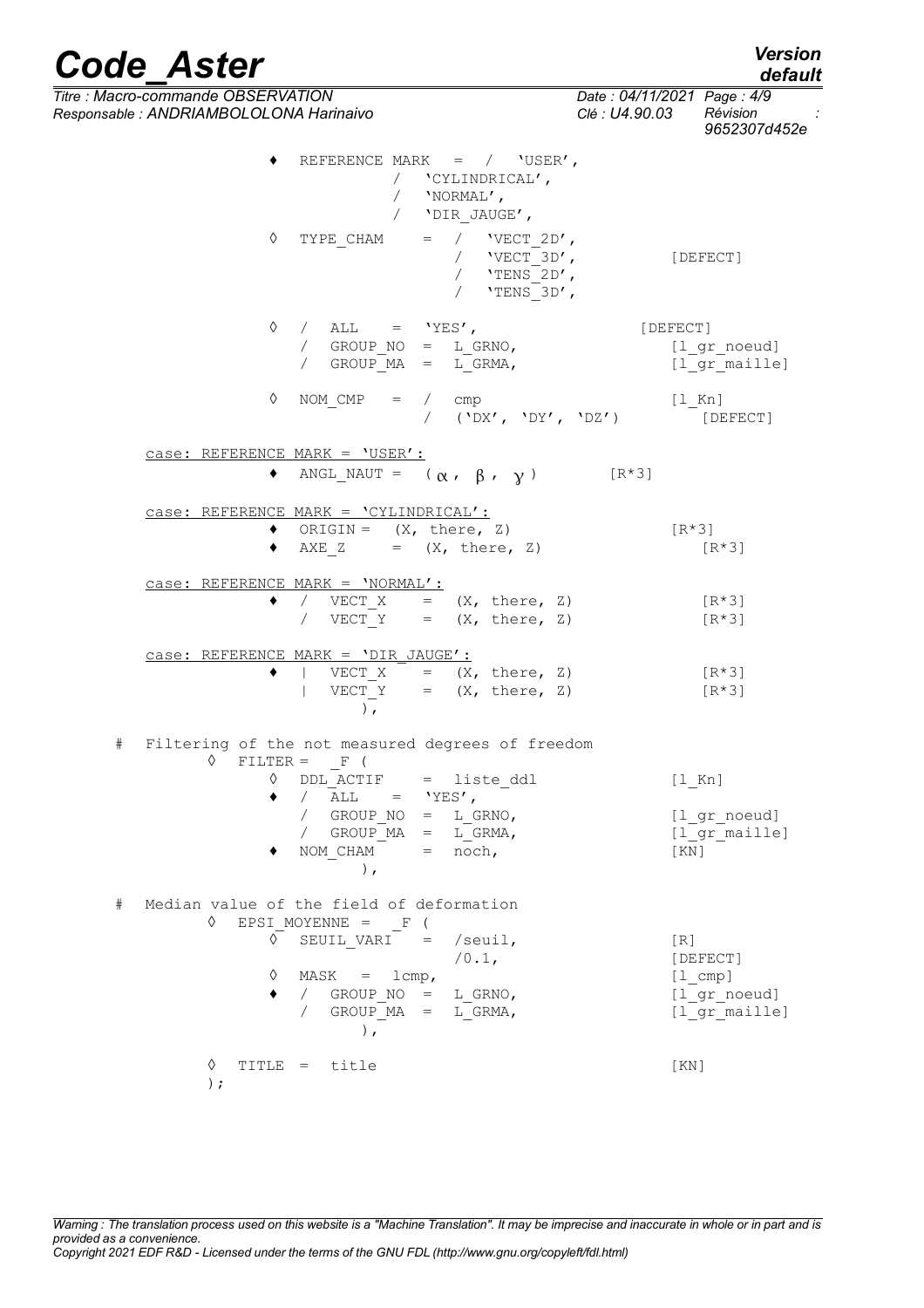|   | <b>Code Aster</b>                                                             |                                                                                         | <b>Version</b><br>default                                                |
|---|-------------------------------------------------------------------------------|-----------------------------------------------------------------------------------------|--------------------------------------------------------------------------|
|   | Titre : Macro-commande OBSERVATION<br>Responsable : ANDRIAMBOLOLONA Harinaivo |                                                                                         | Date: 04/11/2021 Page: 4/9<br>Révision<br>Clé : U4.90.03<br>9652307d452e |
|   |                                                                               | REFERENCE MARK = $/$ 'USER',<br>'CYLINDRICAL',<br>/ 'NORMAL',<br>'DIR JAUGE',           |                                                                          |
|   | ♦                                                                             | $=$ / $'VECT 2D',$<br>TYPE CHAM<br>/ $VECT 3D'$ ,<br>/ $'$ TENS 2D',<br>/ $'$ TENS 3D', | [DEFECT]                                                                 |
|   | ♦                                                                             | / ALL = $'YES'$ ,<br>/ GROUP $NO = L$ GRNO,<br>/ GROUP $MA = L GRMA$ ,                  | [DEFECT]<br>[l gr noeud]<br>[l gr maille]                                |
|   | ♦                                                                             | NOM CMP<br>$=$ / $\text{cmp}$<br>/ ('DX', 'DY', 'DZ')                                   | [l Kn]<br>[DEFECT]                                                       |
|   | case: REFERENCE MARK = 'USER':                                                |                                                                                         |                                                                          |
|   |                                                                               | ANGL_NAUT = $(\alpha, \beta, \gamma)$                                                   | $[R*3]$                                                                  |
|   |                                                                               | case: REFERENCE MARK = 'CYLINDRICAL':                                                   |                                                                          |
|   | ٠                                                                             | ORIGIN = $(X, \text{ there}, Z)$<br>AXE $Z = (X, there, Z)$                             | $[R*3]$<br>$[R*3]$                                                       |
|   |                                                                               | case: REFERENCE MARK = 'NORMAL':                                                        |                                                                          |
|   | ٠                                                                             | / VECT $X = (X, there, Z)$<br>$\sqrt{2}$<br>VECT Y = $(X, \text{ there}, Z)$            | [R*3]<br>$[R*3]$                                                         |
|   |                                                                               | $case: REFERENCE MARK = 'DIR JAUGE':$                                                   |                                                                          |
|   | ٠                                                                             | VECT $X = (X, there, Z)$<br>VECT Y = $(X, \text{ there}, Z)$<br>$\,$ ,                  | $[R*3]$<br>[R*3]                                                         |
| # | ♦                                                                             | Filtering of the not measured degrees of freedom<br>$FILTER = F ($                      |                                                                          |
|   |                                                                               | $\lozenge$ DDL ACTIF = liste ddl                                                        | $[1$ Kn]                                                                 |
|   |                                                                               | $\bullet$ / ALL = 'YES',<br>/ GROUP $NO = L$ GRNO,                                      | [1 gr noeud]                                                             |
|   |                                                                               | / GROUP $MA = L GRMA$ ,<br>NOM CHAM $=$ noch,<br>),                                     | [l gr maille]<br>[KN]                                                    |
| # |                                                                               | Median value of the field of deformation                                                |                                                                          |
|   | ♦<br>♦                                                                        | EPSI MOYENNE = $F($<br>SEUIL VARI<br>$=$ /seuil,                                        | [R]                                                                      |
|   |                                                                               | $/0.1$ ,                                                                                | [DEFECT]                                                                 |
|   | ♦                                                                             | $MASK = lcmp,$                                                                          | $[1 \text{ cmp}]$                                                        |
|   | $\bullet$                                                                     | / GROUP $NO = L$ GRNO,<br>/ GROUP $MA = L GRMA$ ,<br>$\rightarrow$                      | [1 gr noeud]<br>[1 gr maille]                                            |
|   | ♦<br>$)$ ;                                                                    | TITLE = title                                                                           | [KN]                                                                     |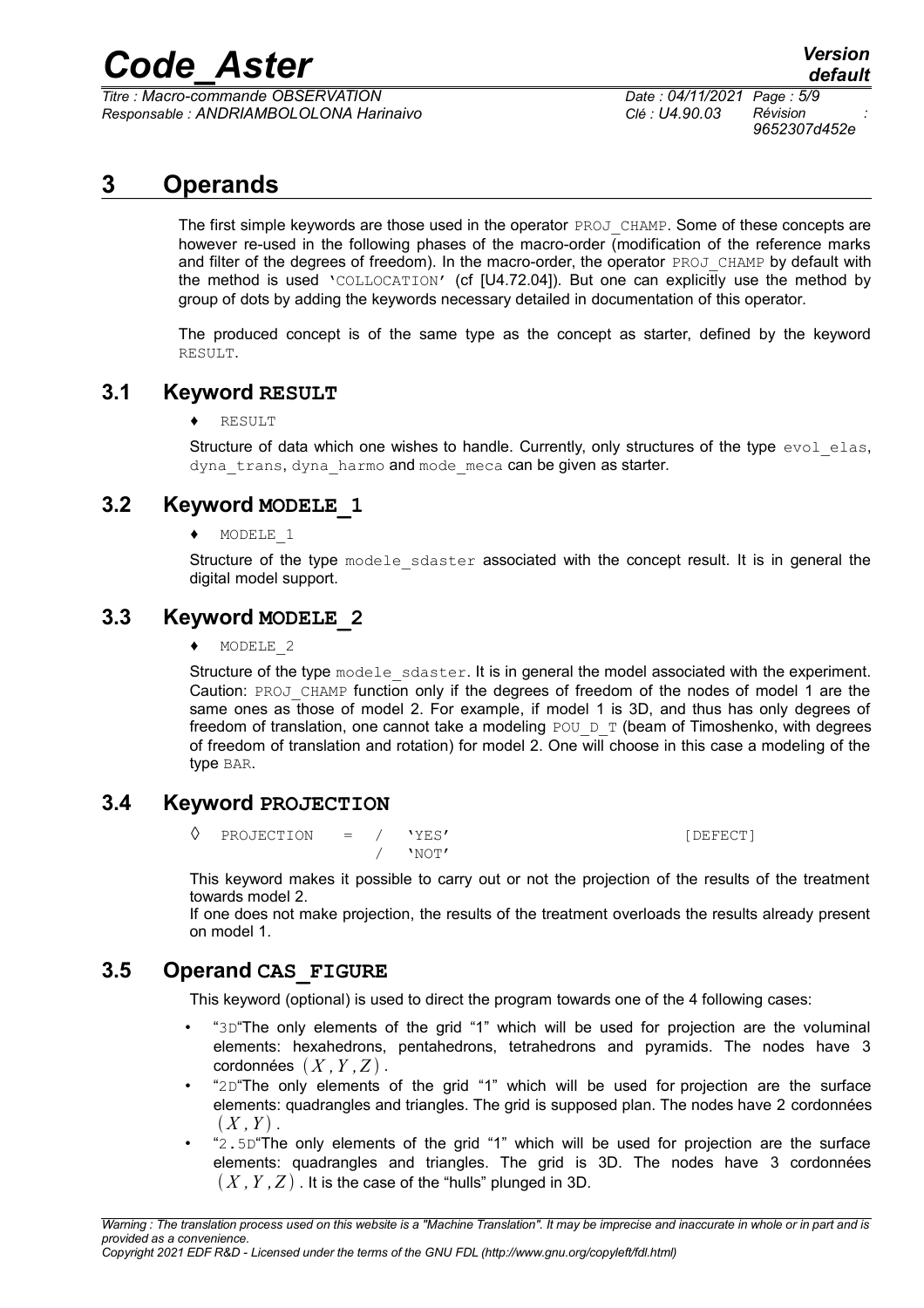*Titre : Macro-commande OBSERVATION Date : 04/11/2021 Page : 5/9 Responsable : ANDRIAMBOLOLONA Harinaivo Clé : U4.90.03 Révision :*

*9652307d452e*

#### **3 Operands**

The first simple keywords are those used in the operator PROJ\_CHAMP. Some of these concepts are however re-used in the following phases of the macro-order (modification of the reference marks and filter of the degrees of freedom). In the macro-order, the operator PROJ CHAMP by default with the method is used 'COLLOCATION' (cf [U4.72.04]). But one can explicitly use the method by group of dots by adding the keywords necessary detailed in documentation of this operator.

The produced concept is of the same type as the concept as starter, defined by the keyword RESULT.

#### **3.1 Keyword RESULT**

♦ RESULT

Structure of data which one wishes to handle. Currently, only structures of the type evol elas, dyna trans, dyna harmo and mode meca can be given as starter.

#### **3.2 Keyword MODELE\_1**

♦ MODELE\_1

Structure of the type modele sdaster associated with the concept result. It is in general the digital model support.

#### **3.3 Keyword MODELE\_2**

♦ MODELE\_2

Structure of the type modele sdaster. It is in general the model associated with the experiment. Caution: PROJ\_CHAMP function only if the degrees of freedom of the nodes of model 1 are the same ones as those of model 2. For example, if model 1 is 3D, and thus has only degrees of freedom of translation, one cannot take a modeling  $POU\_D\_T$  (beam of Timoshenko, with degrees of freedom of translation and rotation) for model 2. One will choose in this case a modeling of the type BAR.

#### **3.4 Keyword PROJECTION**

◊ PROJECTION = / 'YES' [DEFECT] / 'NOT'

This keyword makes it possible to carry out or not the projection of the results of the treatment towards model 2.

If one does not make projection, the results of the treatment overloads the results already present on model 1.

#### **3.5 Operand CAS\_FIGURE**

This keyword (optional) is used to direct the program towards one of the 4 following cases:

- "3D"The only elements of the grid "1" which will be used for projection are the voluminal elements: hexahedrons, pentahedrons, tetrahedrons and pyramids. The nodes have 3  $\cot$ données  $(X, Y, Z)$ .
- "2D"The only elements of the grid "1" which will be used for projection are the surface elements: quadrangles and triangles. The grid is supposed plan. The nodes have 2 cordonnées  $(X, Y)$ .
- "2.5D"The only elements of the grid "1" which will be used for projection are the surface elements: quadrangles and triangles. The grid is 3D. The nodes have 3 cordonnées  $(X, Y, Z)$ . It is the case of the "hulls" plunged in 3D.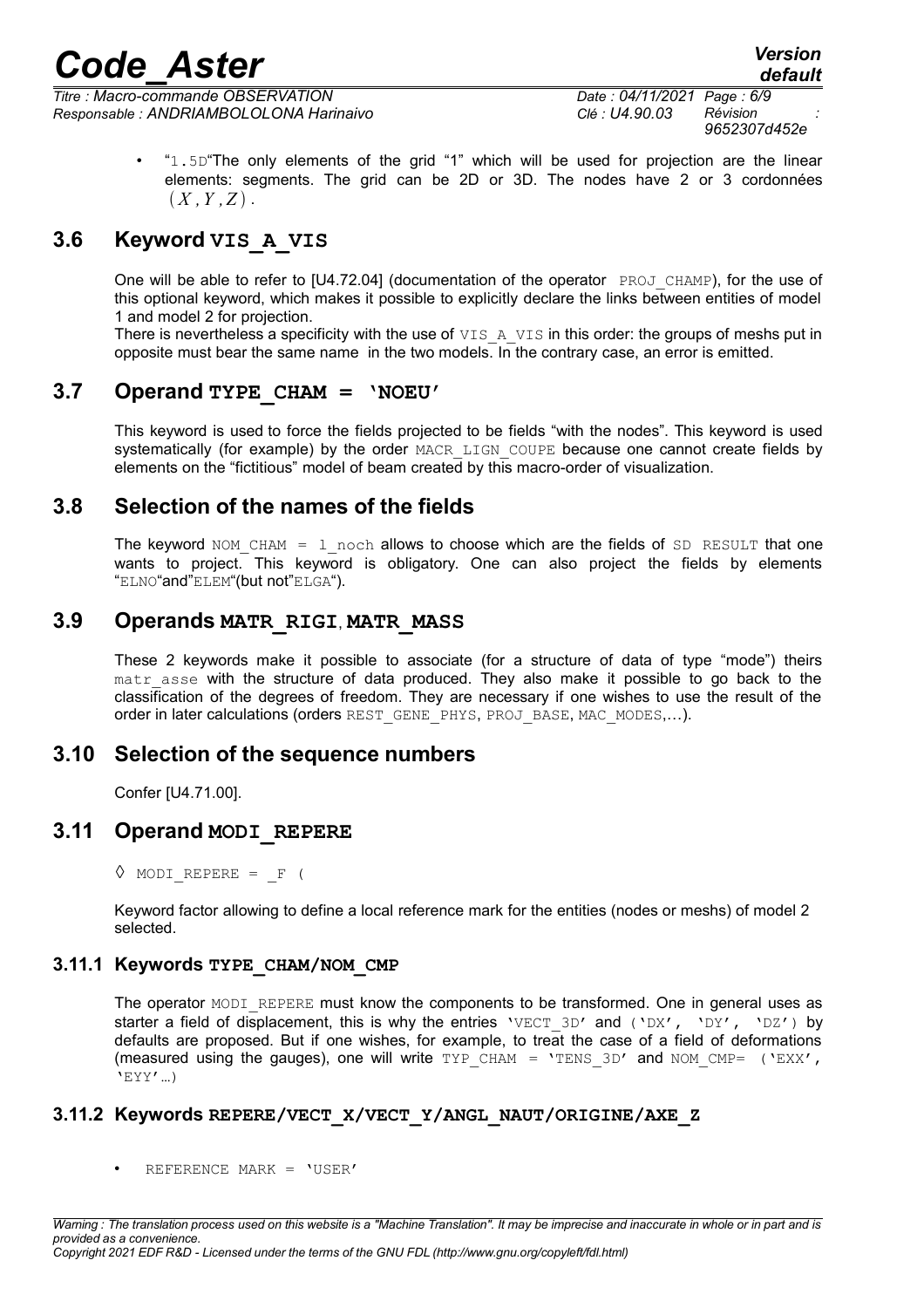*Titre : Macro-commande OBSERVATION Date : 04/11/2021 Page : 6/9 Responsable : ANDRIAMBOLOLONA Harinaivo Clé : U4.90.03 Révision :*

*9652307d452e*

" $1.5D$ "The only elements of the grid "1" which will be used for projection are the linear elements: segments. The grid can be 2D or 3D. The nodes have 2 or 3 cordonnées  $(X, Y, Z)$ .

#### **3.6 Keyword VIS\_A\_VIS**

One will be able to refer to [U4.72.04] (documentation of the operator PROJ CHAMP), for the use of this optional keyword, which makes it possible to explicitly declare the links between entities of model 1 and model 2 for projection.

There is nevertheless a specificity with the use of  $VISAAVIS$  in this order: the groups of meshs put in opposite must bear the same name in the two models. In the contrary case, an error is emitted.

#### **3.7 Operand TYPE\_CHAM = 'NOEU'**

This keyword is used to force the fields projected to be fields "with the nodes". This keyword is used systematically (for example) by the order MACR\_LIGN\_COUPE because one cannot create fields by elements on the "fictitious" model of beam created by this macro-order of visualization.

#### **3.8 Selection of the names of the fields**

The keyword NOM CHAM = 1 noch allows to choose which are the fields of  $SD$  RESULT that one wants to project. This keyword is obligatory. One can also project the fields by elements "ELNO"and"ELEM"(but not"ELGA").

#### **3.9 Operands MATR\_RIGI**, **MATR\_MASS**

These 2 keywords make it possible to associate (for a structure of data of type "mode") theirs matr asse with the structure of data produced. They also make it possible to go back to the classification of the degrees of freedom. They are necessary if one wishes to use the result of the order in later calculations (orders REST\_GENE\_PHYS, PROJ\_BASE, MAC\_MODES,...).

#### **3.10 Selection of the sequence numbers**

Confer [U4.71.00].

#### **3.11 Operand MODI\_REPERE**

 $\Diamond$  MODI REPERE = F (

Keyword factor allowing to define a local reference mark for the entities (nodes or meshs) of model 2 selected.

#### **3.11.1 Keywords TYPE\_CHAM/NOM\_CMP**

The operator MODI\_REPERE must know the components to be transformed. One in general uses as starter a field of displacement, this is why the entries 'VECT 3D' and ('DX', 'DY', 'DZ') by defaults are proposed. But if one wishes, for example, to treat the case of a field of deformations (measured using the gauges), one will write  $TYP$  CHAM = 'TENS 3D' and NOM CMP= ('EXX', 'EYY'…)

#### **3.11.2 Keywords REPERE/VECT\_X/VECT\_Y/ANGL\_NAUT/ORIGINE/AXE\_Z**

• REFERENCE MARK = 'USER'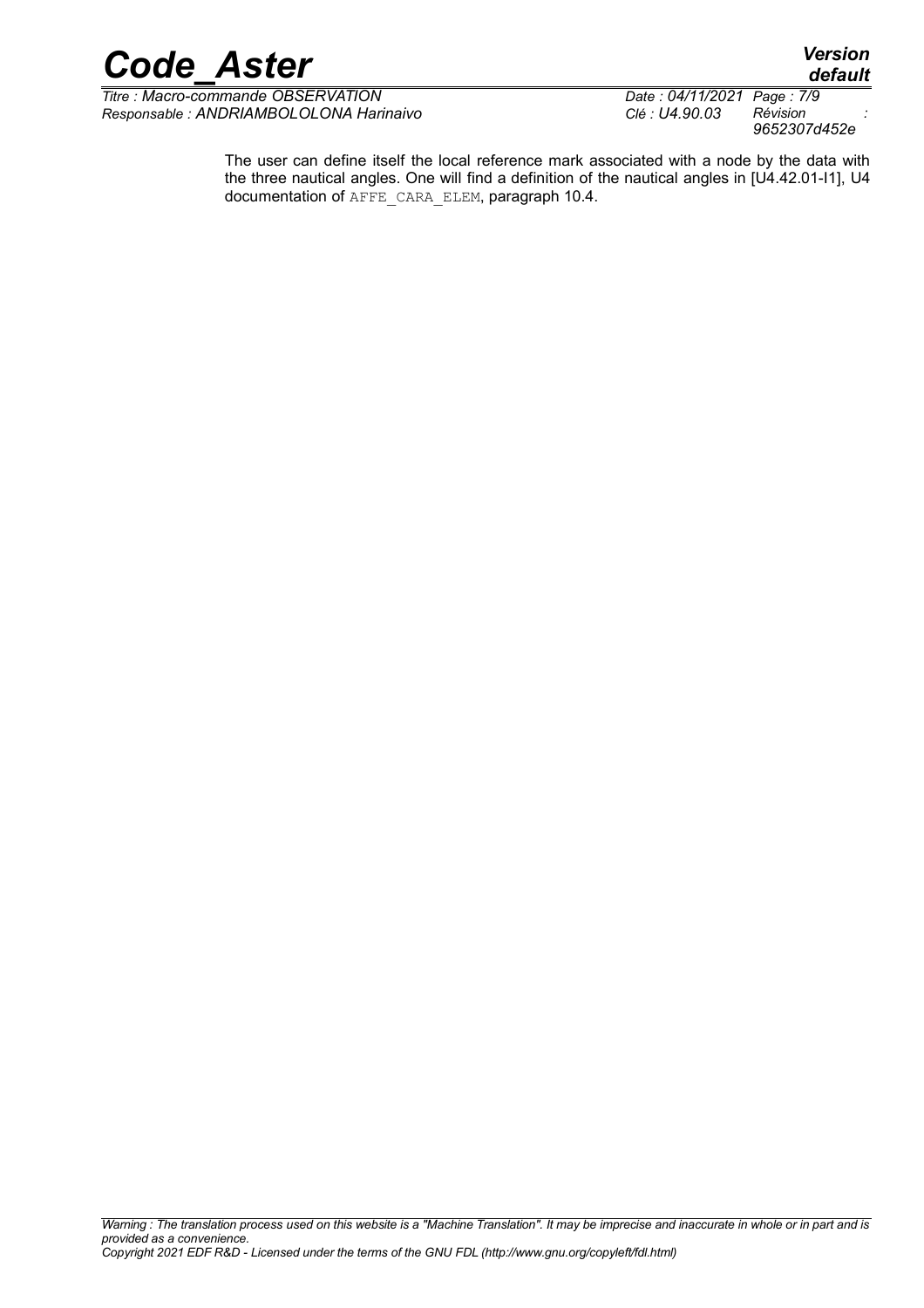

*Titre : Macro-commande OBSERVATION Date : 04/11/2021 Page : 7/9 Responsable : ANDRIAMBOLOLONA Harinaivo Clé : U4.90.03 Révision :*

*9652307d452e*

The user can define itself the local reference mark associated with a node by the data with the three nautical angles. One will find a definition of the nautical angles in [U4.42.01-I1], U4 documentation of AFFE\_CARA\_ELEM, paragraph 10.4.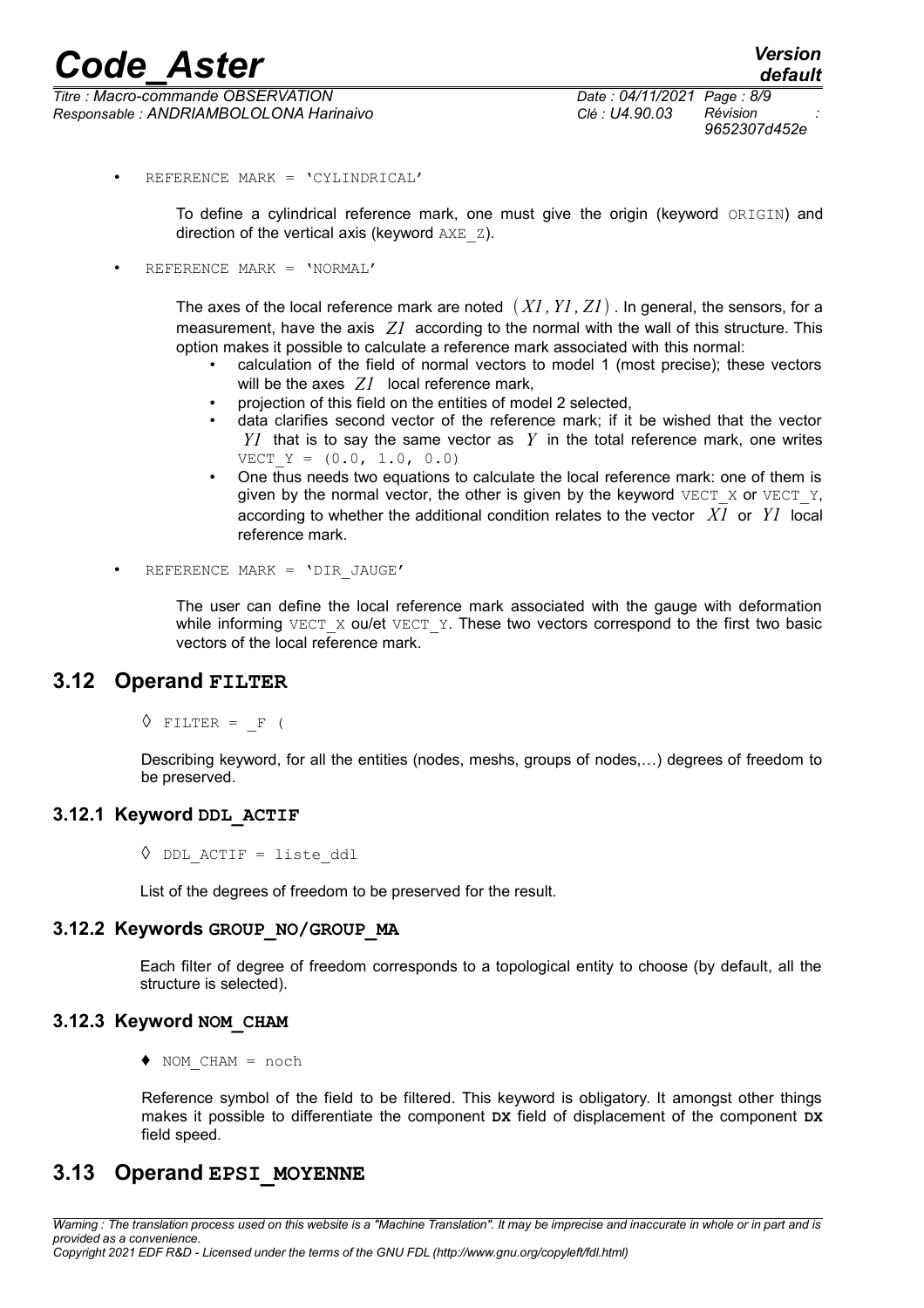*Titre : Macro-commande OBSERVATION Date : 04/11/2021 Page : 8/9 Responsable : ANDRIAMBOLOLONA Harinaivo Clé : U4.90.03 Révision :*

• REFERENCE MARK = 'CYLINDRICAL'

To define a cylindrical reference mark, one must give the origin (keyword ORIGIN) and direction of the vertical axis (keyword  $AXE-Z$ ).

• REFERENCE MARK = 'NORMAL'

The axes of the local reference mark are noted  $(XI, YI, ZI)$ . In general, the sensors, for a measurement, have the axis *Z1* according to the normal with the wall of this structure. This option makes it possible to calculate a reference mark associated with this normal:

- calculation of the field of normal vectors to model 1 (most precise); these vectors will be the axes *Z1* local reference mark,
- projection of this field on the entities of model 2 selected,
- data clarifies second vector of the reference mark; if it be wished that the vector *Y1* that is to say the same vector as *Y* in the total reference mark, one writes VECT  $Y = (0.0, 1.0, 0.0)$
- One thus needs two equations to calculate the local reference mark: one of them is given by the normal vector, the other is given by the keyword  $VECT X$  or  $VECT Y$ , according to whether the additional condition relates to the vector *X1* or *Y1* local reference mark.
- REFERENCE MARK = 'DIR\_JAUGE'

The user can define the local reference mark associated with the gauge with deformation while informing VECT  $X$  ou/et VECT Y. These two vectors correspond to the first two basic vectors of the local reference mark.

#### **3.12 Operand FILTER**

 $\Diamond$  FILTER = F (

Describing keyword, for all the entities (nodes, meshs, groups of nodes,…) degrees of freedom to be preserved.

#### **3.12.1 Keyword DDL\_ACTIF**

 $\Diamond$  DDL ACTIF = liste ddl

List of the degrees of freedom to be preserved for the result.

#### **3.12.2 Keywords GROUP\_NO/GROUP\_MA**

Each filter of degree of freedom corresponds to a topological entity to choose (by default, all the structure is selected).

#### **3.12.3 Keyword NOM\_CHAM**

 $\blacklozenge$  NOM CHAM = noch

Reference symbol of the field to be filtered. This keyword is obligatory. It amongst other things makes it possible to differentiate the component **DX** field of displacement of the component **DX** field speed.

#### **3.13 Operand EPSI\_MOYENNE**

*Warning : The translation process used on this website is a "Machine Translation". It may be imprecise and inaccurate in whole or in part and is provided as a convenience. Copyright 2021 EDF R&D - Licensed under the terms of the GNU FDL (http://www.gnu.org/copyleft/fdl.html)*